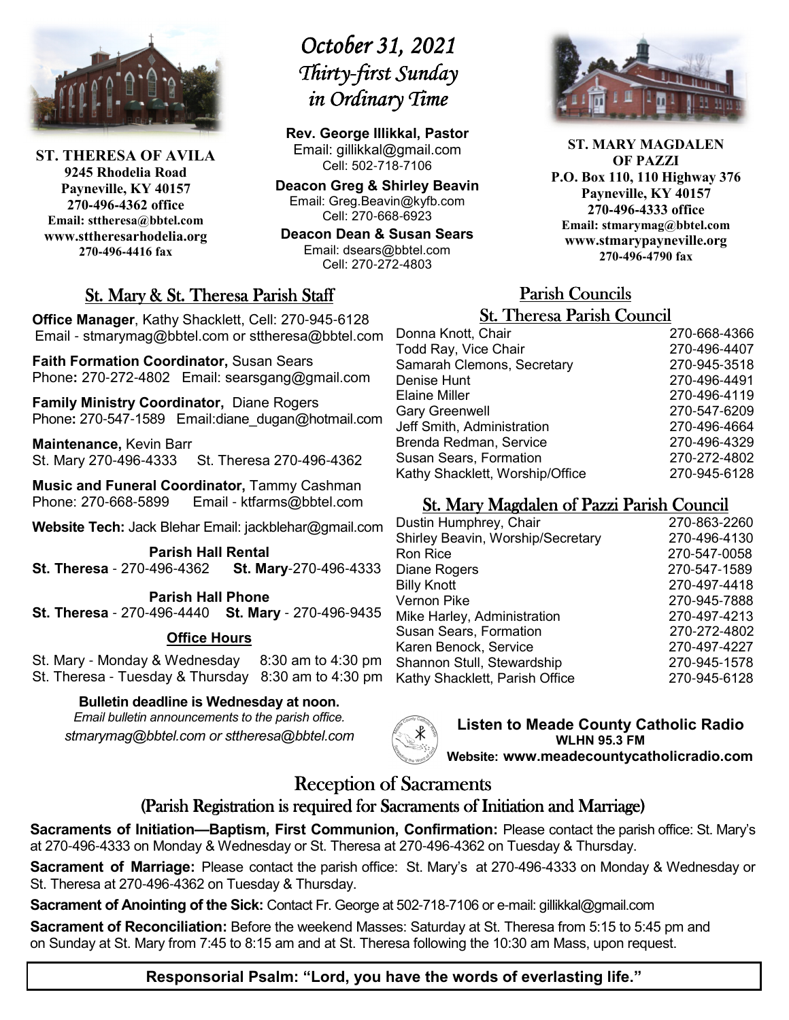

**ST. THERESA OF AVILA 9245 Rhodelia Road Payneville, KY 40157 270-496-4362 office Email: sttheresa@bbtel.com www.sttheresarhodelia.org 270-496-4416 fax**

# *October 31, 2021 Thirty- Thirty-first Sunday first Sunday Sunday in Ordinary Time*

**Rev. George Illikkal, Pastor** Email: gillikkal@gmail.com Cell: 502-718-7106

**Deacon Greg & Shirley Beavin** Email: Greg.Beavin@kyfb.com Cell: 270-668-6923

**Deacon Dean & Susan Sears** Email: dsears@bbtel.com Cell: 270-272-4803

# St. Mary & St. Theresa Parish Staff

**Office Manager**, Kathy Shacklett, Cell: 270-945-6128 Email - stmarymag@bbtel.com or sttheresa@bbtel.com

**Faith Formation Coordinator,** Susan Sears Phone**:** 270-272-4802Email: searsgang@gmail.com

**Family Ministry Coordinator,** Diane Rogers Phone: 270-547-1589 Email:diane\_dugan@hotmail.com

**Maintenance,** Kevin Barr St. Mary 270-496-4333 St. Theresa 270-496-4362

**Music and Funeral Coordinator,** Tammy Cashman Phone: 270-668-5899 Email - ktfarms@bbtel.com

**Website Tech:** Jack Blehar Email: jackblehar@gmail.com

**Parish Hall Rental St. Theresa** - 270-496-4362 **St. Mary**-270-496-4333

**Parish Hall Phone St. Theresa** - 270-496-4440 **St. Mary** - 270-496-9435

#### **Office Hours**

St. Mary - Monday & Wednesday 8:30 am to 4:30 pm St. Theresa - Tuesday & Thursday 8:30 am to 4:30 pm

#### **Bulletin deadline is Wednesday at noon.**

*Email bulletin announcements to the parish office. stmarymag@bbtel.com or sttheresa@bbtel.com*



**Listen to Meade County Catholic Radio WLHN 95.3 FM Website: www.meadecountycatholicradio.com**

# Reception of Sacraments

## (Parish Registration is required for Sacraments of Initiation and Marriage)

**Sacraments of Initiation—Baptism, First Communion, Confirmation:** Please contact the parish office: St. Mary's at 270-496-4333 on Monday & Wednesday or St. Theresa at 270-496-4362 on Tuesday & Thursday.

**Sacrament of Marriage:** Please contact the parish office: St. Mary's at 270-496-4333 on Monday & Wednesday or St. Theresa at 270-496-4362 on Tuesday & Thursday.

**Sacrament of Anointing of the Sick:** Contact Fr. George at 502-718-7106 or e-mail: gillikkal@gmail.com

**Sacrament of Reconciliation:** Before the weekend Masses: Saturday at St. Theresa from 5:15 to 5:45 pm and on Sunday at St. Mary from 7:45 to 8:15 am and at St. Theresa following the 10:30 am Mass, upon request.



**ST. MARY MAGDALEN OF PAZZI P.O. Box 110, 110 Highway 376 Payneville, KY 40157 270-496-4333 office Email: stmarymag@bbtel.com www.stmarypayneville.org 270-496-4790 fax**

# Parish Councils Parish Councils

| <b>St. Theresa Parish Council</b> |              |  |
|-----------------------------------|--------------|--|
| Donna Knott, Chair                | 270-668-4366 |  |
| Todd Ray, Vice Chair              | 270-496-4407 |  |
| Samarah Clemons, Secretary        | 270-945-3518 |  |
| Denise Hunt                       | 270-496-4491 |  |
| Elaine Miller                     | 270-496-4119 |  |
| <b>Gary Greenwell</b>             | 270-547-6209 |  |
| Jeff Smith, Administration        | 270-496-4664 |  |
| Brenda Redman, Service            | 270-496-4329 |  |
| <b>Susan Sears, Formation</b>     | 270-272-4802 |  |
| Kathy Shacklett, Worship/Office   | 270-945-6128 |  |

# St. Mary Magdalen of Pazzi Parish Council

| Dustin Humphrey, Chair            | 270-863-2260 |
|-----------------------------------|--------------|
| Shirley Beavin, Worship/Secretary | 270-496-4130 |
| Ron Rice                          | 270-547-0058 |
| Diane Rogers                      | 270-547-1589 |
| <b>Billy Knott</b>                | 270-497-4418 |
| Vernon Pike                       | 270-945-7888 |
| Mike Harley, Administration       | 270-497-4213 |
| Susan Sears, Formation            | 270-272-4802 |
| Karen Benock, Service             | 270-497-4227 |
| Shannon Stull, Stewardship        | 270-945-1578 |
| Kathy Shacklett, Parish Office    | 270-945-6128 |
|                                   |              |

**Responsorial Psalm: "Lord, you have the words of everlasting life."**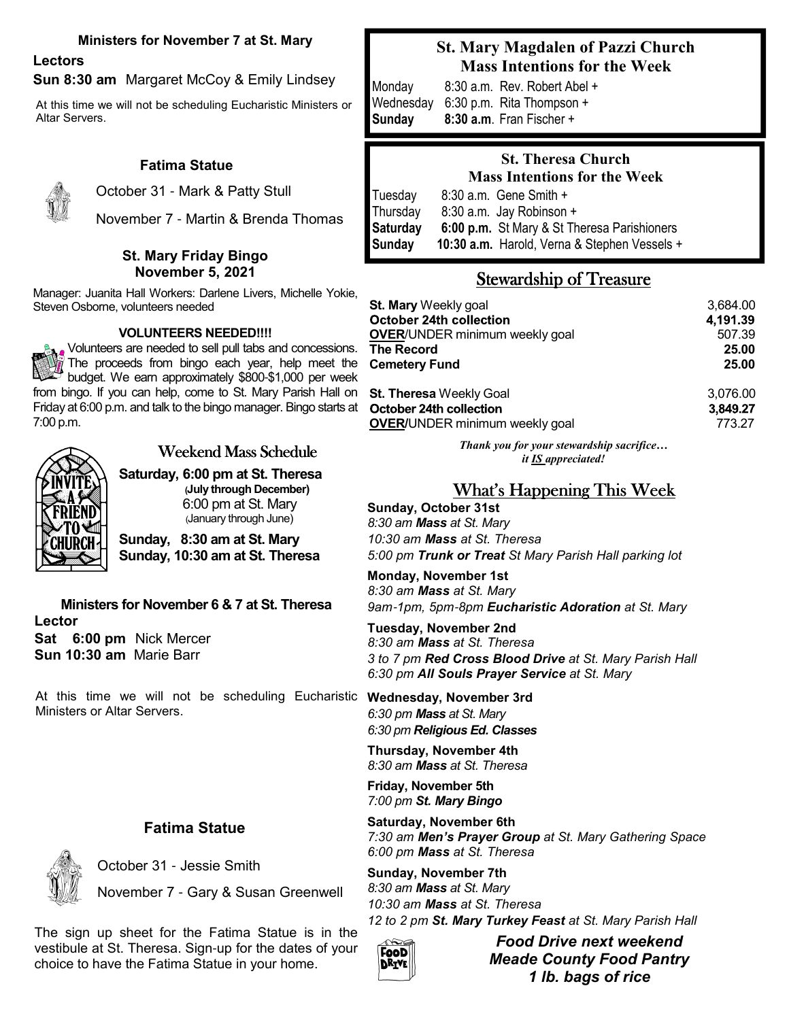#### **Ministers for November 7 at St. Mary**

# **Lectors**

#### **Sun 8:30 am** Margaret McCoy & Emily Lindsey

At this time we will not be scheduling Eucharistic Ministers or Altar Servers.

#### **Fatima Statue**



October 31 - Mark & Patty Stull

November 7 - Martin & Brenda Thomas

#### **St. Mary Friday Bingo November 5, 2021**

Manager: Juanita Hall Workers: Darlene Livers, Michelle Yokie, Steven Osborne, volunteers needed

#### **VOLUNTEERS NEEDED!!!!**

Volunteers are needed to sell pull tabs and concessions. The proceeds from bingo each year, help meet the budget. We earn approximately \$800-\$1,000 per week from bingo. If you can help, come to St. Mary Parish Hall on Friday at 6:00 p.m. and talk to the bingo manager. Bingo starts at 7:00 p.m.



## Weekend Mass Schedule

**Saturday, 6:00 pm at St. Theresa (July through December)**  6:00 pm at St. Mary (January through June)

**Sunday, 8:30 am at St. Mary Sunday, 10:30 am at St. Theresa**

**Ministers for November 6 & 7 at St. Theresa Lector Sat 6:00 pm** Nick Mercer **Sun 10:30 am** Marie Barr

At this time we will not be scheduling Eucharistic Ministers or Altar Servers.

#### **Fatima Statue**



October 31 - Jessie Smith

November 7 - Gary & Susan Greenwell

The sign up sheet for the Fatima Statue is in the vestibule at St. Theresa. Sign-up for the dates of your choice to have the Fatima Statue in your home.

## **St. Mary Magdalen of Pazzi Church Mass Intentions for the Week**

Monday8:30 a.m. Rev. Robert Abel + Wednesday 6:30 p.m. Rita Thompson + **Sunday 8:30 a.m**. Fran Fischer +

## **St. Theresa Church Mass Intentions for the Week** Tuesday 8:30 a.m. Gene Smith +

Thursday 8:30 a.m. Jay Robinson + **Saturday 6:00 p.m.** St Mary & St Theresa Parishioners **Sunday 10:30 a.m.** Harold, Verna & Stephen Vessels +

# Stewardship of Treasure

| St. Mary Weekly goal                  | 3.684.00 |
|---------------------------------------|----------|
| <b>October 24th collection</b>        | 4,191.39 |
| <b>OVER/UNDER minimum weekly goal</b> | 507.39   |
| The Record                            | 25.00    |
| Cemetery Fund                         | 25.00    |
| St. Theresa Weekly Goal               | 3,076.00 |
| <b>October 24th collection</b>        | 3,849.27 |
| <b>OVER/UNDER minimum weekly goal</b> | 773.27   |

*Thank you for your stewardship sacrifice… it IS appreciated!*

# What's Happening This Week

**Sunday, October 31st** *8:30 am Mass at St. Mary 10:30 am Mass at St. Theresa 5:00 pm Trunk or Treat St Mary Parish Hall parking lot* 

**Monday, November 1st** *8:30 am Mass at St. Mary 9am*-*1pm, 5pm*-*8pm Eucharistic Adoration at St. Mary*

**Tuesday, November 2nd** *8:30 am Mass at St. Theresa 3 to 7 pm Red Cross Blood Drive at St. Mary Parish Hall 6:30 pm All Souls Prayer Service at St. Mary*

**Wednesday, November 3rd** *6:30 pm Mass at St. Mary 6:30 pm Religious Ed. Classes* 

**Thursday, November 4th** *8:30 am Mass at St. Theresa*

**Friday, November 5th** *7:00 pm St. Mary Bingo*

**Saturday, November 6th** *7:30 am Men's Prayer Group at St. Mary Gathering Space 6:00 pm Mass at St. Theresa*

**Sunday, November 7th** *8:30 am Mass at St. Mary 10:30 am Mass at St. Theresa 12 to 2 pm St. Mary Turkey Feast at St. Mary Parish Hall* 



*Food Drive next weekend Meade County Food Pantry 1 lb. bags of rice*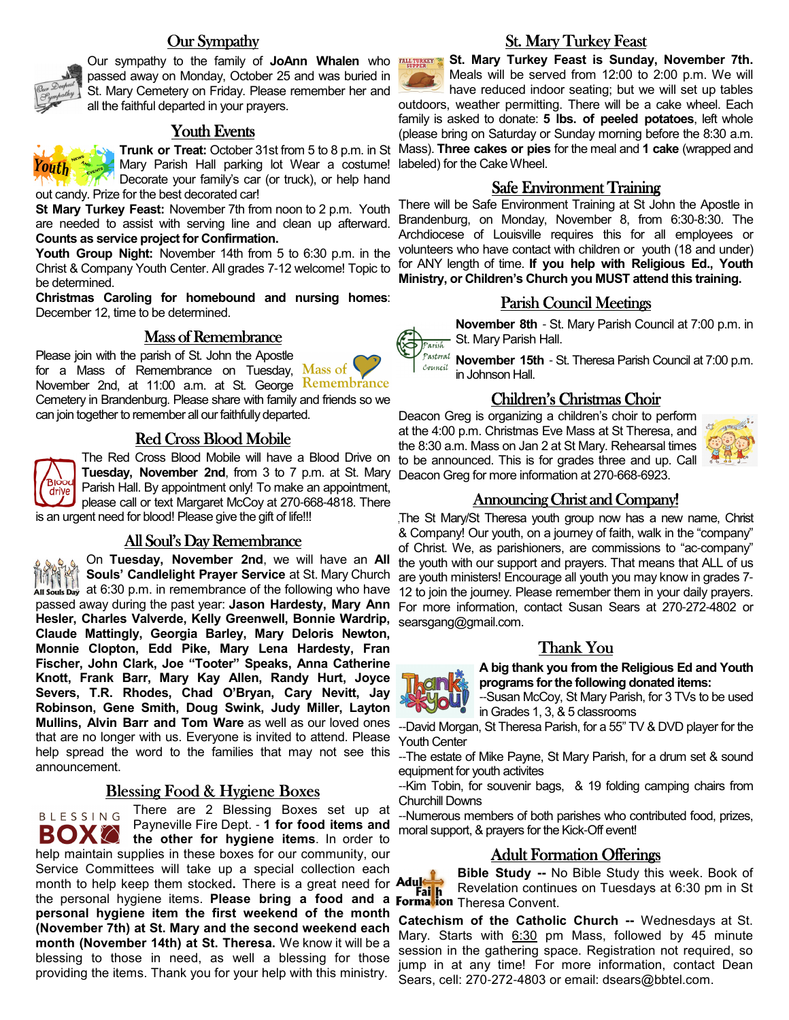#### Our Sympathy



Our sympathy to the family of **JoAnn Whalen** who passed away on Monday, October 25 and was buried in St. Mary Cemetery on Friday. Please remember her and all the faithful departed in your prayers.

#### Youth Events

**Trunk or Treat:** October 31st from 5 to 8 p.m. in St Mary Parish Hall parking lot Wear a costume! Decorate your family's car (or truck), or help hand out candy. Prize for the best decorated car!

**St Mary Turkey Feast:** November 7th from noon to 2 p.m. Youth are needed to assist with serving line and clean up afterward. **Counts as service project for Confirmation.** 

**Youth Group Night:** November 14th from 5 to 6:30 p.m. in the Christ & Company Youth Center. All grades 7-12 welcome! Topic to be determined.

**Christmas Caroling for homebound and nursing homes**: December 12, time to be determined.

#### Mass of Remembrance

Please join with the parish of St. John the Apostle for a Mass of Remembrance on Tuesday, Mass of November 2nd, at 11:00 a.m. at St. George Remembrance Cemetery in Brandenburg. Please share with family and friends so we can join together to remember all our faithfully departed.

### Red Cross Blood Mobile



The Red Cross Blood Mobile will have a Blood Drive on **Tuesday, November 2nd**, from 3 to 7 p.m. at St. Mary Parish Hall. By appointment only! To make an appointment, please call or text Margaret McCoy at 270-668-4818. There is an urgent need for blood! Please give the gift of life!!!

All Soul's Day Remembrance

On **Tuesday, November 2nd**, we will have an **All Souls' Candlelight Prayer Service** at St. Mary Church at 6:30 p.m. in remembrance of the following who have passed away during the past year: **Jason Hardesty, Mary Ann Hesler, Charles Valverde, Kelly Greenwell, Bonnie Wardrip, Claude Mattingly, Georgia Barley, Mary Deloris Newton, Monnie Clopton, Edd Pike, Mary Lena Hardesty, Fran Fischer, John Clark, Joe "Tooter" Speaks, Anna Catherine Knott, Frank Barr, Mary Kay Allen, Randy Hurt, Joyce Severs, T.R. Rhodes, Chad O'Bryan, Cary Nevitt, Jay Robinson, Gene Smith, Doug Swink, Judy Miller, Layton Mullins, Alvin Barr and Tom Ware** as well as our loved ones that are no longer with us. Everyone is invited to attend. Please help spread the word to the families that may not see this announcement.

#### <u>Blessing Food & Hygiene Boxes</u>

There are 2 Blessing Boxes set up at **BLESSING** Payneville Fire Dept. - **1 for food items and BOX** the other for hygiene items. In order to help maintain supplies in these boxes for our community, our Service Committees will take up a special collection each month to help keep them stocked. There is a great need for **Adult** month to help keep them stocked**.** There is a great need for the personal hygiene items. **Please bring a food and a personal hygiene item the first weekend of the month (November 7th) at St. Mary and the second weekend each month (November 14th) at St. Theresa.** We know it will be a blessing to those in need, as well a blessing for those providing the items. Thank you for your help with this ministry.



#### **St. Mary Turkey Feast**

 **St. Mary Turkey Feast is Sunday, November 7th.**  Meals will be served from 12:00 to 2:00 p.m. We will have reduced indoor seating; but we will set up tables outdoors, weather permitting. There will be a cake wheel. Each family is asked to donate: **5 lbs. of peeled potatoes**, left whole (please bring on Saturday or Sunday morning before the 8:30 a.m. Mass). **Three cakes or pies** for the meal and **1 cake** (wrapped and labeled) for the Cake Wheel.

#### **Safe Environment Training**

There will be Safe Environment Training at St John the Apostle in Brandenburg, on Monday, November 8, from 6:30-8:30. The Archdiocese of Louisville requires this for all employees or volunteers who have contact with children or youth (18 and under) for ANY length of time. **If you help with Religious Ed., Youth Ministry, or Children's Church you MUST attend this training.** 

#### Parish Council Meetings

**November 8th** - St. Mary Parish Council at 7:00 p.m. in  $\overleftrightarrow{\mathcal{P}}_{\text{Parish}}$  St. Mary Parish Hall.

Council

**Reini** 

**November 15th** - St. Theresa Parish Council at 7:00 p.m. in Johnson Hall.

#### Children's Christmas Choir

Deacon Greg is organizing a children's choir to perform at the 4:00 p.m. Christmas Eve Mass at St Theresa, and the 8:30 a.m. Mass on Jan 2 at St Mary. Rehearsal times to be announced. This is for grades three and up. Call Deacon Greg for more information at 270-668-6923.



The St Mary/St Theresa youth group now has a new name, Christ & Company! Our youth, on a journey of faith, walk in the "company" of Christ. We, as parishioners, are commissions to "ac-company" the youth with our support and prayers. That means that ALL of us are youth ministers! Encourage all youth you may know in grades 7- 12 to join the journey. Please remember them in your daily prayers. For more information, contact Susan Sears at 270-272-4802 or searsgang@gmail.com.

#### Thank You

**A big thank you from the Religious Ed and Youth programs for the following donated items:** 

--Susan McCoy, St Mary Parish, for 3 TVs to be used in Grades 1, 3, & 5 classrooms

--David Morgan, St Theresa Parish, for a 55" TV & DVD player for the Youth Center

--The estate of Mike Payne, St Mary Parish, for a drum set & sound equipment for youth activites

--Kim Tobin, for souvenir bags, & 19 folding camping chairs from Churchill Downs

--Numerous members of both parishes who contributed food, prizes, moral support, & prayers for the Kick-Off event!

#### **Adult Formation Offerings**

**Bible Study --** No Bible Study this week. Book of Revelation continues on Tuesdays at 6:30 pm in St Theresa Convent.

**Catechism of the Catholic Church --** Wednesdays at St. Mary. Starts with 6:30 pm Mass, followed by 45 minute session in the gathering space. Registration not required, so jump in at any time! For more information, contact Dean Sears, cell: 270-272-4803 or email: dsears@bbtel.com.